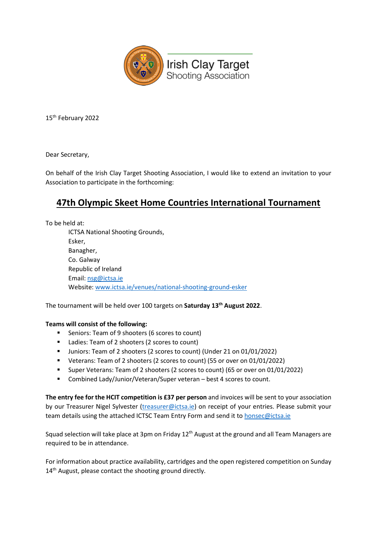

15th February 2022

Dear Secretary,

On behalf of the Irish Clay Target Shooting Association, I would like to extend an invitation to your Association to participate in the forthcoming:

## **47th Olympic Skeet Home Countries International Tournament**

To be held at: ICTSA National Shooting Grounds, Esker, Banagher, Co. Galway Republic of Ireland Email: [nsg@ictsa.ie](mailto:nsg@ictsa.ie) Website[: www.ictsa.ie/venues/national-shooting-ground-esker](https://www.ictsa.ie/venues/national-shooting-ground-esker)

The tournament will be held over 100 targets on **Saturday 13th August 2022**.

## **Teams will consist of the following:**

- **Seniors: Team of 9 shooters (6 scores to count)**
- Ladies: Team of 2 shooters (2 scores to count)
- Juniors: Team of 2 shooters (2 scores to count) (Under 21 on 01/01/2022)
- Veterans: Team of 2 shooters (2 scores to count) (55 or over on 01/01/2022)
- Super Veterans: Team of 2 shooters (2 scores to count) (65 or over on 01/01/2022)
- Combined Lady/Junior/Veteran/Super veteran best 4 scores to count.

**The entry fee for the HCIT competition is £37 per person** and invoices will be sent to your association by our Treasurer Nigel Sylvester [\(treasurer@ictsa.ie\)](mailto:treasurer@ictsa.ie) on receipt of your entries. Please submit your team details using the attached ICTSC Team Entry Form and send it to [honsec@ictsa.ie](mailto:honsec@ictsa.ie)

Squad selection will take place at 3pm on Friday 12<sup>th</sup> August at the ground and all Team Managers are required to be in attendance.

For information about practice availability, cartridges and the open registered competition on Sunday 14<sup>th</sup> August, please contact the shooting ground directly.